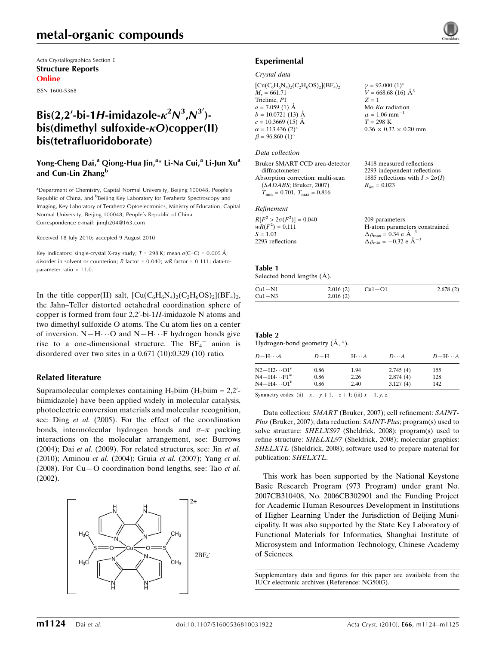# metal-organic compounds

Acta Crystallographica Section E Structure Reports Online

ISSN 1600-5368

# Bis(2,2'-bi-1H-imidazole- $\kappa^2 N^3$ , $N^3$ ')bis(dimethyl sulfoxide- $\kappa$ O)copper(II) bis(tetrafluoridoborate)

# Yong-Cheng Dai,<sup>a</sup> Qiong-Hua Jin,<sup>a</sup>\* Li-Na Cui,<sup>a</sup> Li-Jun Xu<sup>a</sup> and Cun-Lin Zhang<sup>b</sup>

<sup>a</sup>Department of Chemistry, Capital Normal University, Beijing 100048, People's Republic of China, and <sup>b</sup>Beijing Key Laboratory for Terahertz Spectroscopy and Imaging, Key Laboratory of Terahertz Optoelectronics, Ministry of Education, Capital Normal University, Beijing 100048, People's Republic of China Correspondence e-mail: jinqh204@163.com

Received 18 July 2010; accepted 9 August 2010

Key indicators: single-crystal X-ray study;  $T = 298$  K; mean  $\sigma$ (C–C) = 0.005 Å; disorder in solvent or counterion; R factor = 0.040; wR factor = 0.111; data-toparameter ratio = 11.0.

In the title copper(II) salt,  $\left[\text{Cu}(C_6H_6N_4)_{2}(C_2H_6OS)_{2}\right](BF_4)_{2}$ , the Jahn–Teller distorted octahedral coordination sphere of copper is formed from four  $2,2'$ -bi-1H-imidazole N atoms and two dimethyl sulfoxide O atoms. The Cu atom lies on a center of inversion.  $N-H\cdots O$  and  $N-H\cdots F$  hydrogen bonds give rise to a one-dimensional structure. The  $BF_4^-$  anion is disordered over two sites in a 0.671 (10):0.329 (10) ratio.

## Related literature

Supramolecular complexes containing  $H_2$ biim ( $H_2$ biim = 2,2'biimidazole) have been applied widely in molecular catalysis, photoelectric conversion materials and molecular recognition, see: Ding et al. (2005). For the effect of the coordination bonds, intermolecular hydrogen bonds and  $\pi-\pi$  packing interactions on the molecular arrangement, see: Burrows (2004); Dai et al. (2009). For related structures, see: Jin et al. (2010); Aminou et al. (2004); Gruia et al. (2007); Yang et al. (2008). For  $Cu-O$  coordination bond lengths, see: Tao *et al.* (2002).



## Experimental

#### Crystal data

| $[Cu(C6H6N4)2(C2H6OS)2](BF4)2$ | $\gamma = 92.000$ (1) <sup>o</sup> |
|--------------------------------|------------------------------------|
| $M_r = 661.71$                 | $V = 668.68(16)$ Å <sup>3</sup>    |
| Triclinic, P1                  | $Z = 1$                            |
| $a = 7.059$ (1) Å              | Mo $K\alpha$ radiation             |
| $b = 10.0721(13)$ Å            | $\mu = 1.06$ mm <sup>-1</sup>      |
| $c = 10.3669$ (15) Å           | $T = 298$ K                        |
| $\alpha = 113.436(2)^{\circ}$  | $0.36 \times 0.32 \times 0.20$ mm  |
| $\beta = 96.860(1)$ °          |                                    |
|                                |                                    |

#### Data collection

| Bruker SMART CCD area-detector       | 3418 measured reflections              |
|--------------------------------------|----------------------------------------|
| diffractometer                       | 2293 independent reflections           |
| Absorption correction: multi-scan    | 1885 reflections with $I > 2\sigma(I)$ |
| (SADABS; Bruker, 2007)               | $R_{\rm int} = 0.023$                  |
| $T_{\min} = 0.701, T_{\max} = 0.816$ |                                        |
| Refinement                           |                                        |

| $R[F^2 > 2\sigma(F^2)] = 0.040$ | 209 parameters                                     |
|---------------------------------|----------------------------------------------------|
| $wR(F^2) = 0.111$               | H-atom parameters constrained                      |
| $S = 1.03$                      | $\Delta \rho_{\text{max}} = 0.34 \text{ e A}^{-3}$ |
| 2293 reflections                | $\Delta \rho_{\text{min}} = -0.32$ e $\AA^{-3}$    |
|                                 |                                                    |

#### Table 1

| Selected bond lengths (A). |  |  |
|----------------------------|--|--|

| $Cu1-N1$ | 2.016(2) | $Cu1-O1$ | 2.678(2) |
|----------|----------|----------|----------|
| $Cu1-N3$ | 2.016(2) |          |          |

#### Table 2 Hydrogen-bond geometry  $(\AA, \degree)$ .

| $D$ $\!-\mathrm{H}\cdots A$   | $D-H$ | $H\cdots A$ | $D\cdots A$ | $D - H \cdots A$ |  |  |
|-------------------------------|-------|-------------|-------------|------------------|--|--|
| $N2-H2\cdots O1^{ii}$         | 0.86  | 1.94        | 2.745(4)    | 155              |  |  |
| $N4 - H4 \cdots F1m$          | 0.86  | 2.26        | 2.874(4)    | 128              |  |  |
| $\rm N4\!-\!H4\cdots O1^{ii}$ | 0.86  | 2.40        | 3.127(4)    | 142              |  |  |

Symmetry codes: (ii)  $-x, -y + 1, -z + 1$ ; (iii)  $x - 1, y, z$ .

Data collection: SMART (Bruker, 2007); cell refinement: SAINT-Plus (Bruker, 2007); data reduction: SAINT-Plus; program(s) used to solve structure: SHELXS97 (Sheldrick, 2008); program(s) used to refine structure: SHELXL97 (Sheldrick, 2008); molecular graphics: SHELXTL (Sheldrick, 2008); software used to prepare material for publication: SHELXTL.

This work has been supported by the National Keystone Basic Research Program (973 Program) under grant No. 2007CB310408, No. 2006CB302901 and the Funding Project for Academic Human Resources Development in Institutions of Higher Learning Under the Jurisdiction of Beijing Municipality. It was also supported by the State Key Laboratory of Functional Materials for Informatics, Shanghai Institute of Microsystem and Information Technology, Chinese Academy of Sciences.

Supplementary data and figures for this paper are available from the IUCr electronic archives (Reference: NG5003).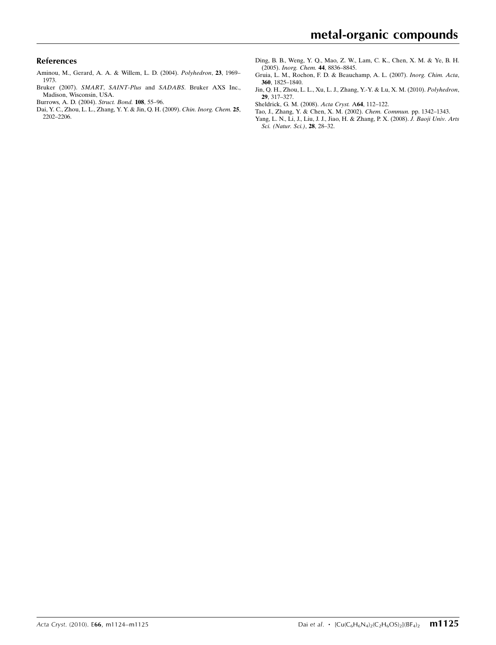### References

- [Aminou, M., Gerard, A. A. & Willem, L. D. \(2004\).](https://scripts.iucr.org/cgi-bin/cr.cgi?rm=pdfbb&cnor=ng5003&bbid=BB1) Polyhedron, 23, 1969– [1973.](https://scripts.iucr.org/cgi-bin/cr.cgi?rm=pdfbb&cnor=ng5003&bbid=BB1)
- Bruker (2007). SMART, SAINT-Plus and SADABS[. Bruker AXS Inc.,](https://scripts.iucr.org/cgi-bin/cr.cgi?rm=pdfbb&cnor=ng5003&bbid=BB2) [Madison, Wisconsin, USA.](https://scripts.iucr.org/cgi-bin/cr.cgi?rm=pdfbb&cnor=ng5003&bbid=BB2)
- [Burrows, A. D. \(2004\).](https://scripts.iucr.org/cgi-bin/cr.cgi?rm=pdfbb&cnor=ng5003&bbid=BB3) Struct. Bond. 108, 55–96.
- [Dai, Y. C., Zhou, L. L., Zhang, Y. Y. & Jin, Q. H. \(2009\).](https://scripts.iucr.org/cgi-bin/cr.cgi?rm=pdfbb&cnor=ng5003&bbid=BB4) Chin. Inorg. Chem. 25, [2202–2206.](https://scripts.iucr.org/cgi-bin/cr.cgi?rm=pdfbb&cnor=ng5003&bbid=BB4)
- [Ding, B. B., Weng, Y. Q., Mao, Z. W., Lam, C. K., Chen, X. M. & Ye, B. H.](https://scripts.iucr.org/cgi-bin/cr.cgi?rm=pdfbb&cnor=ng5003&bbid=BB5) (2005). [Inorg. Chem.](https://scripts.iucr.org/cgi-bin/cr.cgi?rm=pdfbb&cnor=ng5003&bbid=BB5) 44, 8836–8845.
- [Gruia, L. M., Rochon, F. D. & Beauchamp, A. L. \(2007\).](https://scripts.iucr.org/cgi-bin/cr.cgi?rm=pdfbb&cnor=ng5003&bbid=BB6) Inorg. Chim. Acta, 360[, 1825–1840.](https://scripts.iucr.org/cgi-bin/cr.cgi?rm=pdfbb&cnor=ng5003&bbid=BB6)
- [Jin, Q. H., Zhou, L. L., Xu, L. J., Zhang, Y.-Y. & Lu, X. M. \(2010\).](https://scripts.iucr.org/cgi-bin/cr.cgi?rm=pdfbb&cnor=ng5003&bbid=BB7) Polyhedron, 29[, 317–327.](https://scripts.iucr.org/cgi-bin/cr.cgi?rm=pdfbb&cnor=ng5003&bbid=BB7)
- [Sheldrick, G. M. \(2008\).](https://scripts.iucr.org/cgi-bin/cr.cgi?rm=pdfbb&cnor=ng5003&bbid=BB8) Acta Cryst. A64, 112–122.
- [Tao, J., Zhang, Y. & Chen, X. M. \(2002\).](https://scripts.iucr.org/cgi-bin/cr.cgi?rm=pdfbb&cnor=ng5003&bbid=BB9) Chem. Commun. pp. 1342–1343.
- [Yang, L. N., Li, J., Liu, J. J., Jiao, H. & Zhang, P. X. \(2008\).](https://scripts.iucr.org/cgi-bin/cr.cgi?rm=pdfbb&cnor=ng5003&bbid=BB10) J. Baoji Univ. Arts [Sci. \(Natur. Sci.\)](https://scripts.iucr.org/cgi-bin/cr.cgi?rm=pdfbb&cnor=ng5003&bbid=BB10), 28, 28–32.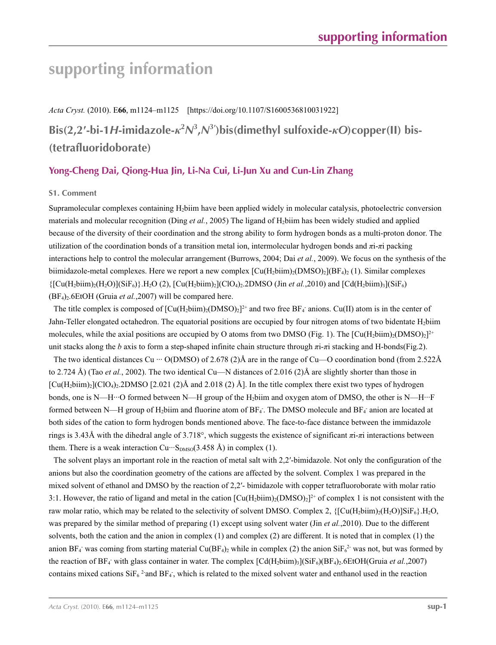# **supporting information**

*Acta Cryst.* (2010). E**66**, m1124–m1125 [https://doi.org/10.1107/S1600536810031922] **Bis(2,2′-bi-1***H***-imidazole-***κ***<sup>2</sup>** *N***3 ,***N***<sup>3</sup>′ )bis(dimethyl sulfoxide-***κO***)copper(II) bis- (tetrafluoridoborate)**

# **Yong-Cheng Dai, Qiong-Hua Jin, Li-Na Cui, Li-Jun Xu and Cun-Lin Zhang**

### **S1. Comment**

Supramolecular complexes containing H2biim have been applied widely in molecular catalysis, photoelectric conversion materials and molecular recognition (Ding *et al.*, 2005) The ligand of H2biim has been widely studied and applied because of the diversity of their coordination and the strong ability to form hydrogen bonds as a multi-proton donor. The utilization of the coordination bonds of a transition metal ion, intermolecular hydrogen bonds and *π*i-*π*i packing interactions help to control the molecular arrangement (Burrows, 2004; Dai *et al.*, 2009). We focus on the synthesis of the biimidazole-metal complexes. Here we report a new complex  $\lceil Cu(H_2biim)_2(DMSO)_2(RF_4)_2 (1)$ . Similar complexes  ${[Cu(H<sub>2</sub>biim)<sub>2</sub>(H<sub>2</sub>O)](SiF<sub>6</sub>)}.H<sub>2</sub>O (2), [Cu(H<sub>2</sub>biim)<sub>2</sub>](ClO<sub>4</sub>)<sub>2</sub>.2DMSO (Jin *et al.*,2010) and [Cd(H<sub>2</sub>biim)<sub>3</sub>](SiF<sub>6</sub>)}$ (BF4)2.6EtOH (Gruia *et al.*,2007) will be compared here.

The title complex is composed of  $\text{[Cu(H_2biim)_2(DMSO)_2]}^{2+}$  and two free BF<sub>4</sub> anions. Cu(II) atom is in the center of Jahn-Teller elongated octahedron. The equatorial positions are occupied by four nitrogen atoms of two bidentate H<sub>2</sub>biim molecules, while the axial positions are occupied by O atoms from two DMSO (Fig. 1). The  $\left[\text{Cu(H}_2\text{biim})_2(\text{DMSO})_2\right]^{2+}$ unit stacks along the *b* axis to form a step-shaped infinite chain structure through *π*i-*π*i stacking and H-bonds(Fig.2).

The two identical distances Cu  $\cdots$  O(DMSO) of 2.678 (2)Å are in the range of Cu—O coordination bond (from 2.522Å to 2.724 Å) (Tao *et al.*, 2002). The two identical Cu—N distances of 2.016 (2)Å are slightly shorter than those in  $\left[\text{Cu}(H_2\text{biim})_2\right]\left[\text{Cl}(O_4)_2.2\text{DMSO} \left[2.021\right]\left(2\right)\text{\AA}$  and 2.018 (2)  $\text{\AA}\right]$ . In the title complex there exist two types of hydrogen bonds, one is N—H···O formed between N—H group of the H<sub>2</sub>biim and oxygen atom of DMSO, the other is N—H···F formed between N—H group of H<sub>2</sub>biim and fluorine atom of BF<sub>4</sub>. The DMSO molecule and BF<sub>4</sub> anion are located at both sides of the cation to form hydrogen bonds mentioned above. The face-to-face distance between the immidazole rings is 3.43Å with the dihedral angle of 3.718°, which suggests the existence of significant *π*i-*π*i interactions between them. There is a weak interaction  $Cu \cdots S_{DMSO}(3.458 \text{ Å})$  in complex (1).

The solvent plays an important role in the reaction of metal salt with 2,2′-bimidazole. Not only the configuration of the anions but also the coordination geometry of the cations are affected by the solvent. Complex 1 was prepared in the mixed solvent of ethanol and DMSO by the reaction of 2,2′- bimidazole with copper tetrafluoroborate with molar ratio 3:1. However, the ratio of ligand and metal in the cation  $\text{[Cu(H_2bim)_2(DMSO)_2]}^{2+}$  of complex 1 is not consistent with the raw molar ratio, which may be related to the selectivity of solvent DMSO. Complex 2,  $\{[Cu(H_2bim)_2(H_2O)]\$ SiF $_6\}$ , H<sub>2</sub>O, was prepared by the similar method of preparing (1) except using solvent water (Jin *et al.*,2010). Due to the different solvents, both the cation and the anion in complex  $(1)$  and complex  $(2)$  are different. It is noted that in complex  $(1)$  the anion BF<sub>4</sub> was coming from starting material Cu(BF<sub>4</sub>)<sub>2</sub> while in complex (2) the anion SiF<sub>6</sub><sup>2</sup> was not, but was formed by the reaction of  $BF_4$  with glass container in water. The complex  $[Cd(H_2biim)_3](SiF_6)(BF_4)_2.6EtOH(Gruia *et al.*, 2007)$ contains mixed cations  $\text{SiF}_6^2$  and BF<sub>4</sub>, which is related to the mixed solvent water and enthanol used in the reaction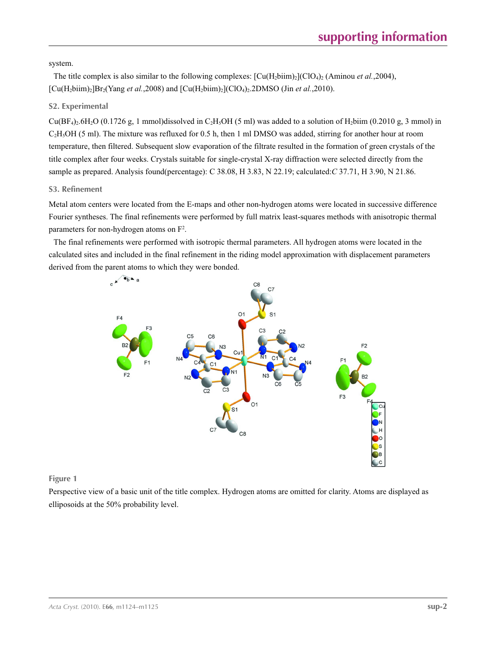system.

The title complex is also similar to the following complexes:  $\text{[Cu(H_2bim)_2(CIO_4)_2 (Aminou et al.,2004)]}$  $[Cu(H_2blim)_2]Br_2(Yang *et al.*, 2008)$  and  $[Cu(H_2biim)_2] (ClO_4)_2.2DMSO$  (Jin *et al.*, 2010).

## **S2. Experimental**

 $Cu(BF<sub>4</sub>)<sub>2</sub>·6H<sub>2</sub>O$  (0.1726 g, 1 mmol)dissolved in C<sub>2</sub>H<sub>3</sub>OH (5 ml) was added to a solution of H<sub>2</sub>biim (0.2010 g, 3 mmol) in C<sub>2</sub>H<sub>5</sub>OH (5 ml). The mixture was refluxed for 0.5 h, then 1 ml DMSO was added, stirring for another hour at room temperature, then filtered. Subsequent slow evaporation of the filtrate resulted in the formation of green crystals of the title complex after four weeks. Crystals suitable for single-crystal X-ray diffraction were selected directly from the sample as prepared. Analysis found(percentage): C 38.08, H 3.83, N 22.19; calculated:*C* 37.71, H 3.90, N 21.86.

## **S3. Refinement**

Metal atom centers were located from the E-maps and other non-hydrogen atoms were located in successive difference Fourier syntheses. The final refinements were performed by full matrix least-squares methods with anisotropic thermal parameters for non-hydrogen atoms on  $F^2$ .

The final refinements were performed with isotropic thermal parameters. All hydrogen atoms were located in the calculated sites and included in the final refinement in the riding model approximation with displacement parameters derived from the parent atoms to which they were bonded.



## **Figure 1**

Perspective view of a basic unit of the title complex. Hydrogen atoms are omitted for clarity. Atoms are displayed as elliposoids at the 50% probability level.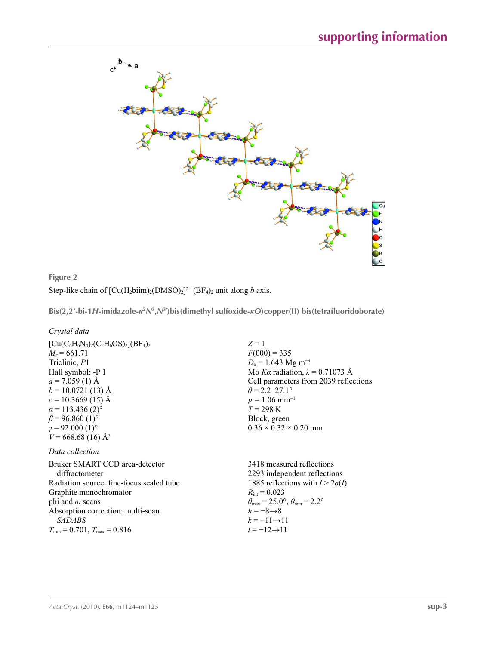

**Figure 2** Step-like chain of  $\left[\text{Cu}(H_2\text{b}i\text{im})_2(\text{DMSO})_2\right]^{2+}$  (BF<sub>4</sub>)<sub>2</sub> unit along *b* axis.

**Bis(2,2′-bi-1***H***-imidazole-***κ***<sup>2</sup>** *N***<sup>3</sup> ,***N***<sup>3</sup>′ )bis(dimethyl sulfoxide-***κO***)copper(II) bis(tetrafluoridoborate)** 

*Crystal data*

| $[Cu(C_6H_6N_4)_2(C_2H_6OS)_2] (BF_4)_2$ | $Z=1$                                  |
|------------------------------------------|----------------------------------------|
| $M_r = 661.71$                           | $F(000) = 335$                         |
| Triclinic, P1                            | $D_x = 1.643$ Mg m <sup>-3</sup>       |
| Hall symbol: -P 1                        | Mo Ka radiation, $\lambda = 0.71073$ Å |
| $a = 7.059(1)$ Å                         | Cell parameters from 2039 reflections  |
| $b = 10.0721(13)$ Å                      | $\theta$ = 2.2–27.1°                   |
| $c = 10.3669$ (15) Å                     | $\mu$ = 1.06 mm <sup>-1</sup>          |
| $\alpha$ = 113.436 (2) <sup>o</sup>      | $T = 298 \text{ K}$                    |
| $\beta$ = 96.860 (1) <sup>o</sup>        | Block, green                           |
| $\gamma = 92.000(1)$ °                   | $0.36 \times 0.32 \times 0.20$ mm      |
| $V = 668.68(16)$ Å <sup>3</sup>          |                                        |
| Data collection                          |                                        |
| Bruker SMART CCD area-detector           | 3418 measured reflections              |
| diffractometer                           | 2293 independent reflections           |
| Radiation source: fine-focus sealed tube | 1885 reflections with $I > 2\sigma(I)$ |

Graphite monochromator phi and *ω* scans Absorption correction: multi-scan *SADABS*  $T_{\text{min}} = 0.701, T_{\text{max}} = 0.816$ 

 $R_{\text{int}} = 0.023$  $\theta_{\text{max}} = 25.0^{\circ}, \theta_{\text{min}} = 2.2^{\circ}$ *h* = −8→8  $k = -11 \rightarrow 11$ *l* = −12→11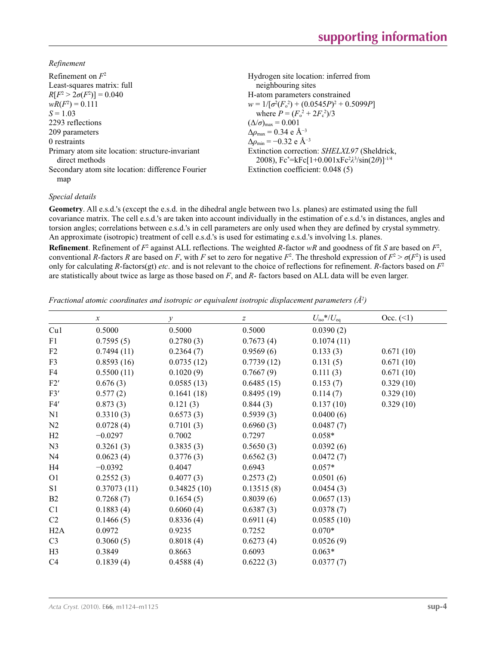*Refinement*

| Refinement on $F^2$                                               | Hydrogen site location: inferred from                                                                         |
|-------------------------------------------------------------------|---------------------------------------------------------------------------------------------------------------|
| Least-squares matrix: full                                        | neighbouring sites                                                                                            |
| $R[F^2 > 2\sigma(F^2)] = 0.040$                                   | H-atom parameters constrained                                                                                 |
| $wR(F^2) = 0.111$                                                 | $w = 1/[\sigma^2(F_0^2) + (0.0545P)^2 + 0.5099P]$                                                             |
| $S = 1.03$                                                        | where $P = (F_o^2 + 2F_c^2)/3$                                                                                |
| 2293 reflections                                                  | $(\Delta/\sigma)_{\text{max}} = 0.001$                                                                        |
| 209 parameters                                                    | $\Delta \rho_{\text{max}} = 0.34 \text{ e A}^{-3}$                                                            |
| 0 restraints                                                      | $\Delta\rho_{\rm min} = -0.32 \text{ e } \text{\AA}^{-3}$                                                     |
| Primary atom site location: structure-invariant<br>direct methods | Extinction correction: SHELXL97 (Sheldrick,<br>2008), $Fc^* = kFc[1+0.001xFc^2\lambda^3/sin(2\theta)]^{-1/4}$ |
| Secondary atom site location: difference Fourier<br>map           | Extinction coefficient: 0.048 (5)                                                                             |

### *Special details*

**Geometry**. All e.s.d.'s (except the e.s.d. in the dihedral angle between two l.s. planes) are estimated using the full covariance matrix. The cell e.s.d.'s are taken into account individually in the estimation of e.s.d.'s in distances, angles and torsion angles; correlations between e.s.d.'s in cell parameters are only used when they are defined by crystal symmetry. An approximate (isotropic) treatment of cell e.s.d.'s is used for estimating e.s.d.'s involving l.s. planes.

**Refinement**. Refinement of  $F^2$  against ALL reflections. The weighted *R*-factor  $wR$  and goodness of fit *S* are based on  $F^2$ , conventional *R*-factors *R* are based on *F*, with *F* set to zero for negative  $F^2$ . The threshold expression of  $F^2 > \sigma(F^2)$  is used only for calculating *R*-factors(gt) *etc*. and is not relevant to the choice of reflections for refinement. *R*-factors based on *F*<sup>2</sup> are statistically about twice as large as those based on *F*, and *R*- factors based on ALL data will be even larger.

*Fractional atomic coordinates and isotropic or equivalent isotropic displacement parameters (Å<sup>2</sup>)* 

|                | $\boldsymbol{\chi}$ | $\mathcal{Y}$ | $\boldsymbol{Z}$ | $U_{\rm iso}*/U_{\rm eq}$ | Occ. (2)  |
|----------------|---------------------|---------------|------------------|---------------------------|-----------|
| Cu1            | 0.5000              | 0.5000        | 0.5000           | 0.0390(2)                 |           |
| F1             | 0.7595(5)           | 0.2780(3)     | 0.7673(4)        | 0.1074(11)                |           |
| F <sub>2</sub> | 0.7494(11)          | 0.2364(7)     | 0.9569(6)        | 0.133(3)                  | 0.671(10) |
| F3             | 0.8593(16)          | 0.0735(12)    | 0.7739(12)       | 0.131(5)                  | 0.671(10) |
| F4             | 0.5500(11)          | 0.1020(9)     | 0.7667(9)        | 0.111(3)                  | 0.671(10) |
| F2'            | 0.676(3)            | 0.0585(13)    | 0.6485(15)       | 0.153(7)                  | 0.329(10) |
| F3'            | 0.577(2)            | 0.1641(18)    | 0.8495(19)       | 0.114(7)                  | 0.329(10) |
| F4'            | 0.873(3)            | 0.121(3)      | 0.844(3)         | 0.137(10)                 | 0.329(10) |
| N1             | 0.3310(3)           | 0.6573(3)     | 0.5939(3)        | 0.0400(6)                 |           |
| N <sub>2</sub> | 0.0728(4)           | 0.7101(3)     | 0.6960(3)        | 0.0487(7)                 |           |
| H2             | $-0.0297$           | 0.7002        | 0.7297           | $0.058*$                  |           |
| N <sub>3</sub> | 0.3261(3)           | 0.3835(3)     | 0.5650(3)        | 0.0392(6)                 |           |
| N <sub>4</sub> | 0.0623(4)           | 0.3776(3)     | 0.6562(3)        | 0.0472(7)                 |           |
| H4             | $-0.0392$           | 0.4047        | 0.6943           | $0.057*$                  |           |
| O <sub>1</sub> | 0.2552(3)           | 0.4077(3)     | 0.2573(2)        | 0.0501(6)                 |           |
| S1             | 0.37073(11)         | 0.34825(10)   | 0.13515(8)       | 0.0454(3)                 |           |
| B <sub>2</sub> | 0.7268(7)           | 0.1654(5)     | 0.8039(6)        | 0.0657(13)                |           |
| C1             | 0.1883(4)           | 0.6060(4)     | 0.6387(3)        | 0.0378(7)                 |           |
| C <sub>2</sub> | 0.1466(5)           | 0.8336(4)     | 0.6911(4)        | 0.0585(10)                |           |
| H2A            | 0.0972              | 0.9235        | 0.7252           | $0.070*$                  |           |
| C <sub>3</sub> | 0.3060(5)           | 0.8018(4)     | 0.6273(4)        | 0.0526(9)                 |           |
| H <sub>3</sub> | 0.3849              | 0.8663        | 0.6093           | $0.063*$                  |           |
| C <sub>4</sub> | 0.1839(4)           | 0.4588(4)     | 0.6222(3)        | 0.0377(7)                 |           |
|                |                     |               |                  |                           |           |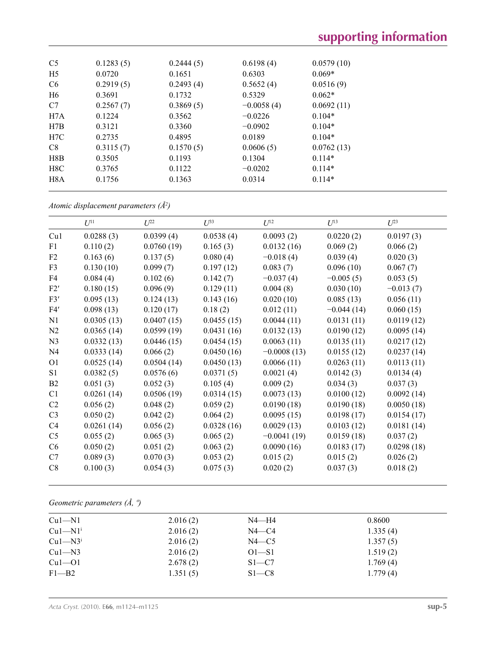# **supporting information**

| C <sub>5</sub>   | 0.1283(5) | 0.2444(5) | 0.6198(4)    | 0.0579(10) |
|------------------|-----------|-----------|--------------|------------|
| H <sub>5</sub>   | 0.0720    | 0.1651    | 0.6303       | $0.069*$   |
| C <sub>6</sub>   | 0.2919(5) | 0.2493(4) | 0.5652(4)    | 0.0516(9)  |
| H <sub>6</sub>   | 0.3691    | 0.1732    | 0.5329       | $0.062*$   |
| C7               | 0.2567(7) | 0.3869(5) | $-0.0058(4)$ | 0.0692(11) |
| H7A              | 0.1224    | 0.3562    | $-0.0226$    | $0.104*$   |
| H7B              | 0.3121    | 0.3360    | $-0.0902$    | $0.104*$   |
| H7C              | 0.2735    | 0.4895    | 0.0189       | $0.104*$   |
| C8               | 0.3115(7) | 0.1570(5) | 0.0606(5)    | 0.0762(13) |
| H8B              | 0.3505    | 0.1193    | 0.1304       | $0.114*$   |
| H8C              | 0.3765    | 0.1122    | $-0.0202$    | $0.114*$   |
| H <sub>8</sub> A | 0.1756    | 0.1363    | 0.0314       | $0.114*$   |
|                  |           |           |              |            |

*Atomic displacement parameters (Å2 )*

|                | $U^{11}$   | $U^{22}$   | $U^{33}$   | $U^{12}$      | $U^{13}$     | $U^{23}$    |
|----------------|------------|------------|------------|---------------|--------------|-------------|
| Cu1            | 0.0288(3)  | 0.0399(4)  | 0.0538(4)  | 0.0093(2)     | 0.0220(2)    | 0.0197(3)   |
| F1             | 0.110(2)   | 0.0760(19) | 0.165(3)   | 0.0132(16)    | 0.069(2)     | 0.066(2)    |
| F2             | 0.163(6)   | 0.137(5)   | 0.080(4)   | $-0.018(4)$   | 0.039(4)     | 0.020(3)    |
| F3             | 0.130(10)  | 0.099(7)   | 0.197(12)  | 0.083(7)      | 0.096(10)    | 0.067(7)    |
| F4             | 0.084(4)   | 0.102(6)   | 0.142(7)   | $-0.037(4)$   | $-0.005(5)$  | 0.053(5)    |
| F2'            | 0.180(15)  | 0.096(9)   | 0.129(11)  | 0.004(8)      | 0.030(10)    | $-0.013(7)$ |
| F3'            | 0.095(13)  | 0.124(13)  | 0.143(16)  | 0.020(10)     | 0.085(13)    | 0.056(11)   |
| F4'            | 0.098(13)  | 0.120(17)  | 0.18(2)    | 0.012(11)     | $-0.044(14)$ | 0.060(15)   |
| N1             | 0.0305(13) | 0.0407(15) | 0.0455(15) | 0.0044(11)    | 0.0131(11)   | 0.0119(12)  |
| N2             | 0.0365(14) | 0.0599(19) | 0.0431(16) | 0.0132(13)    | 0.0190(12)   | 0.0095(14)  |
| N <sub>3</sub> | 0.0332(13) | 0.0446(15) | 0.0454(15) | 0.0063(11)    | 0.0135(11)   | 0.0217(12)  |
| N <sub>4</sub> | 0.0333(14) | 0.066(2)   | 0.0450(16) | $-0.0008(13)$ | 0.0155(12)   | 0.0237(14)  |
| O <sub>1</sub> | 0.0525(14) | 0.0504(14) | 0.0450(13) | 0.0066(11)    | 0.0263(11)   | 0.0113(11)  |
| S <sub>1</sub> | 0.0382(5)  | 0.0576(6)  | 0.0371(5)  | 0.0021(4)     | 0.0142(3)    | 0.0134(4)   |
| B2             | 0.051(3)   | 0.052(3)   | 0.105(4)   | 0.009(2)      | 0.034(3)     | 0.037(3)    |
| C1             | 0.0261(14) | 0.0506(19) | 0.0314(15) | 0.0073(13)    | 0.0100(12)   | 0.0092(14)  |
| C2             | 0.056(2)   | 0.048(2)   | 0.059(2)   | 0.0190(18)    | 0.0190(18)   | 0.0050(18)  |
| C <sub>3</sub> | 0.050(2)   | 0.042(2)   | 0.064(2)   | 0.0095(15)    | 0.0198(17)   | 0.0154(17)  |
| C4             | 0.0261(14) | 0.056(2)   | 0.0328(16) | 0.0029(13)    | 0.0103(12)   | 0.0181(14)  |
| C <sub>5</sub> | 0.055(2)   | 0.065(3)   | 0.065(2)   | $-0.0041(19)$ | 0.0159(18)   | 0.037(2)    |
| C6             | 0.050(2)   | 0.051(2)   | 0.063(2)   | 0.0090(16)    | 0.0183(17)   | 0.0298(18)  |
| C7             | 0.089(3)   | 0.070(3)   | 0.053(2)   | 0.015(2)      | 0.015(2)     | 0.026(2)    |
| C8             | 0.100(3)   | 0.054(3)   | 0.075(3)   | 0.020(2)      | 0.037(3)     | 0.018(2)    |

# *Geometric parameters (Å, º)*

| $Cu1-M1$              | 2.016(2) | $N4 - H4$ | 0.8600   |  |
|-----------------------|----------|-----------|----------|--|
| $Cu1-M1$ <sup>i</sup> | 2.016(2) | $N4 - C4$ | 1.335(4) |  |
| $Cu1-M3i$             | 2.016(2) | $N4 - C5$ | 1.357(5) |  |
| $Cu1-M3$              | 2.016(2) | $O1 - S1$ | 1.519(2) |  |
| $Cu1-O1$              | 2.678(2) | $S1 - C7$ | 1.769(4) |  |
| $F1 - B2$             | 1.351(5) | $S1 - C8$ | 1.779(4) |  |
|                       |          |           |          |  |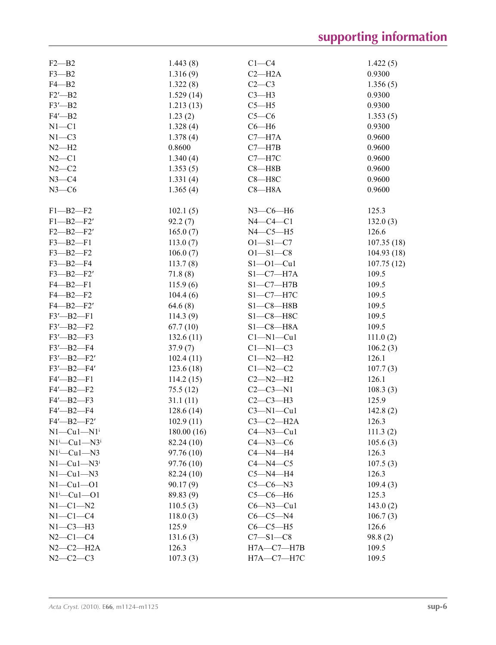# **supporting information**

| $F2 - B2$                | 1.443(8)   | $C1 - C4$       | 1.422(5)   |
|--------------------------|------------|-----------------|------------|
| $F3 - B2$                | 1.316(9)   | $C2 - H2A$      | 0.9300     |
| $F4 - B2$                | 1.322(8)   | $C2-C3$         | 1.356(5)   |
| $F2'$ -B2                | 1.529(14)  | $C3-H3$         | 0.9300     |
| $F3'$ -B2                | 1.213(13)  | $C5 - H5$       | 0.9300     |
| $F4'$ -B2                | 1.23(2)    | $C5-C6$         | 1.353(5)   |
| $N1 - C1$                | 1.328(4)   | $C6 - H6$       | 0.9300     |
| $N1-C3$                  | 1.378(4)   | $C7 - H7A$      | 0.9600     |
| $N2-H2$                  | 0.8600     | $C7 - H7B$      | 0.9600     |
| $N2-C1$                  | 1.340(4)   | $C7 - H7C$      | 0.9600     |
|                          |            |                 |            |
| $N2-C2$                  | 1.353(5)   | $C8 - H8B$      | 0.9600     |
| $N3-C4$                  | 1.331(4)   | $C8 - H8C$      | 0.9600     |
| $N3-C6$                  | 1.365(4)   | $C8 - H8A$      | 0.9600     |
| $F1 - B2 - F2$           | 102.1(5)   | $N3$ –C6–H6     | 125.3      |
| $F1 - B2 - F2'$          | 92.2(7)    | $N4-C4-C1$      | 132.0(3)   |
| $F2 - B2 - F2'$          | 165.0(7)   | $N4-C5-H5$      | 126.6      |
| $F3 - B2 - F1$           | 113.0(7)   | $O1 - S1 - C7$  | 107.35(18) |
| $F3 - B2 - F2$           | 106.0(7)   | $O1 - S1 - C8$  | 104.93(18) |
| $F3 - B2 - F4$           | 113.7(8)   | $S1 - 01 - Cu1$ | 107.75(12) |
| $F3 - B2 - F2'$          | 71.8(8)    | $S1-C7-H7A$     | 109.5      |
| $F4 - B2 - F1$           | 115.9(6)   | $S1-C7-H7B$     | 109.5      |
| $F4 - B2 - F2$           | 104.4(6)   | $S1-C7-H7C$     | 109.5      |
| $F4 - B2 - F2'$          | 64.6(8)    | $S1 - C8 - H8B$ | 109.5      |
| $F3'$ -B2- $F1$          | 114.3(9)   | $S1 - C8 - H8C$ | 109.5      |
|                          |            |                 | 109.5      |
| $F3'$ -B2- $F2$          | 67.7(10)   | $S1-C8-H8A$     |            |
| $F3'$ —B2—F3             | 132.6(11)  | $Cl-M1-Cu1$     | 111.0(2)   |
| $F3'$ -B2- $F4$          | 37.9(7)    | $Cl-M1-C3$      | 106.2(3)   |
| $F3'$ -B2- $F2'$         | 102.4(11)  | $Cl-M2-H2$      | 126.1      |
| $F3'$ —B2—F4'            | 123.6(18)  | $C1 - N2 - C2$  | 107.7(3)   |
| $F4'$ - B2 - $F1$        | 114.2(15)  | $C2 - N2 - H2$  | 126.1      |
| $F4'$ —B2—F2             | 75.5(12)   | $C2-C3-N1$      | 108.3(3)   |
| $F4'$ -B2- $F3$          | 31.1(11)   | $C2-C3-H3$      | 125.9      |
| $F4'$ -B2- $F4$          | 128.6(14)  | $C3-M1-Cu1$     | 142.8(2)   |
| F4'-B2-F2'               | 102.9(11)  | $C3-C2-H2A$     | 126.3      |
| $N1-Cu1-N1$ <sup>i</sup> | 180.00(16) | $C4 - N3 - Cu1$ | 111.3(2)   |
| $N1^i$ —Cu $1$ —N $3^i$  | 82.24 (10) | $C4 - N3 - C6$  | 105.6(3)   |
| $N1^i$ -Cu1-N3           | 97.76 (10) | $C4 - N4 - H4$  | 126.3      |
| $N1-Cu1-N3$              | 97.76 (10) | $C4 - N4 - C5$  | 107.5(3)   |
| $N1-Cu1-N3$              | 82.24 (10) | $C5 - N4 - H4$  | 126.3      |
| $N1-Cu1-O1$              | 90.17(9)   | $C5-C6-N3$      | 109.4(3)   |
| $N1^i$ -Cu $1$ -O1       | 89.83 (9)  | $C5-C6-H6$      | 125.3      |
| $N1-C1-N2$               | 110.5(3)   | $C6 - N3 - Cu1$ | 143.0(2)   |
| $N1-C1-C4$               | 118.0(3)   | $C6-C5-N4$      | 106.7(3)   |
| $N1-C3-H3$               | 125.9      | $C6-C5-H5$      | 126.6      |
| $N2 - C1 - C4$           | 131.6(3)   | $C7 - S1 - C8$  | 98.8(2)    |
| $N2-C2-H2A$              | 126.3      | $H7A-C7-H7B$    | 109.5      |
| $N2-C2-C3$               | 107.3(3)   | H7A-C7-H7C      | 109.5      |
|                          |            |                 |            |